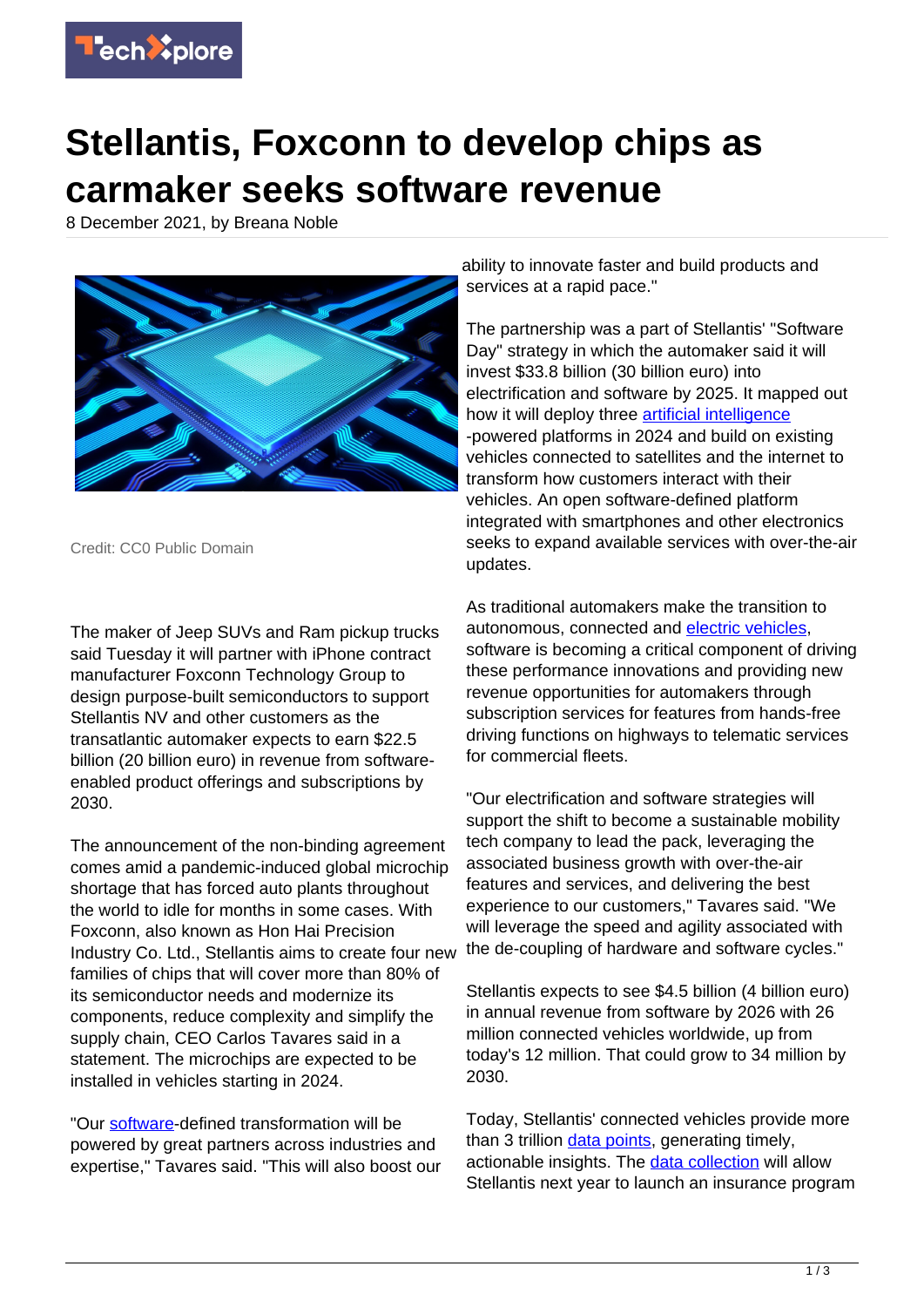

## **Stellantis, Foxconn to develop chips as carmaker seeks software revenue**

8 December 2021, by Breana Noble



Credit: CC0 Public Domain

The maker of Jeep SUVs and Ram pickup trucks said Tuesday it will partner with iPhone contract manufacturer Foxconn Technology Group to design purpose-built semiconductors to support Stellantis NV and other customers as the transatlantic automaker expects to earn \$22.5 billion (20 billion euro) in revenue from softwareenabled product offerings and subscriptions by 2030.

The announcement of the non-binding agreement comes amid a pandemic-induced global microchip shortage that has forced auto plants throughout the world to idle for months in some cases. With Foxconn, also known as Hon Hai Precision Industry Co. Ltd., Stellantis aims to create four new families of chips that will cover more than 80% of its semiconductor needs and modernize its components, reduce complexity and simplify the supply chain, CEO Carlos Tavares said in a statement. The microchips are expected to be installed in vehicles starting in 2024.

"Our [software](https://techxplore.com/tags/software/)-defined transformation will be powered by great partners across industries and expertise," Tavares said. "This will also boost our ability to innovate faster and build products and services at a rapid pace."

The partnership was a part of Stellantis' "Software Day" strategy in which the automaker said it will invest \$33.8 billion (30 billion euro) into electrification and software by 2025. It mapped out how it will deploy three **artificial intelligence** -powered platforms in 2024 and build on existing vehicles connected to satellites and the internet to transform how customers interact with their vehicles. An open software-defined platform integrated with smartphones and other electronics seeks to expand available services with over-the-air updates.

As traditional automakers make the transition to autonomous, connected and [electric vehicles,](https://techxplore.com/tags/electric+vehicles/) software is becoming a critical component of driving these performance innovations and providing new revenue opportunities for automakers through subscription services for features from hands-free driving functions on highways to telematic services for commercial fleets.

"Our electrification and software strategies will support the shift to become a sustainable mobility tech company to lead the pack, leveraging the associated business growth with over-the-air features and services, and delivering the best experience to our customers," Tavares said. "We will leverage the speed and agility associated with the de-coupling of hardware and software cycles."

Stellantis expects to see \$4.5 billion (4 billion euro) in annual revenue from software by 2026 with 26 million connected vehicles worldwide, up from today's 12 million. That could grow to 34 million by 2030.

Today, Stellantis' connected vehicles provide more than 3 trillion [data points,](https://techxplore.com/tags/data+points/) generating timely, actionable insights. The [data collection](https://techxplore.com/tags/data+collection/) will allow Stellantis next year to launch an insurance program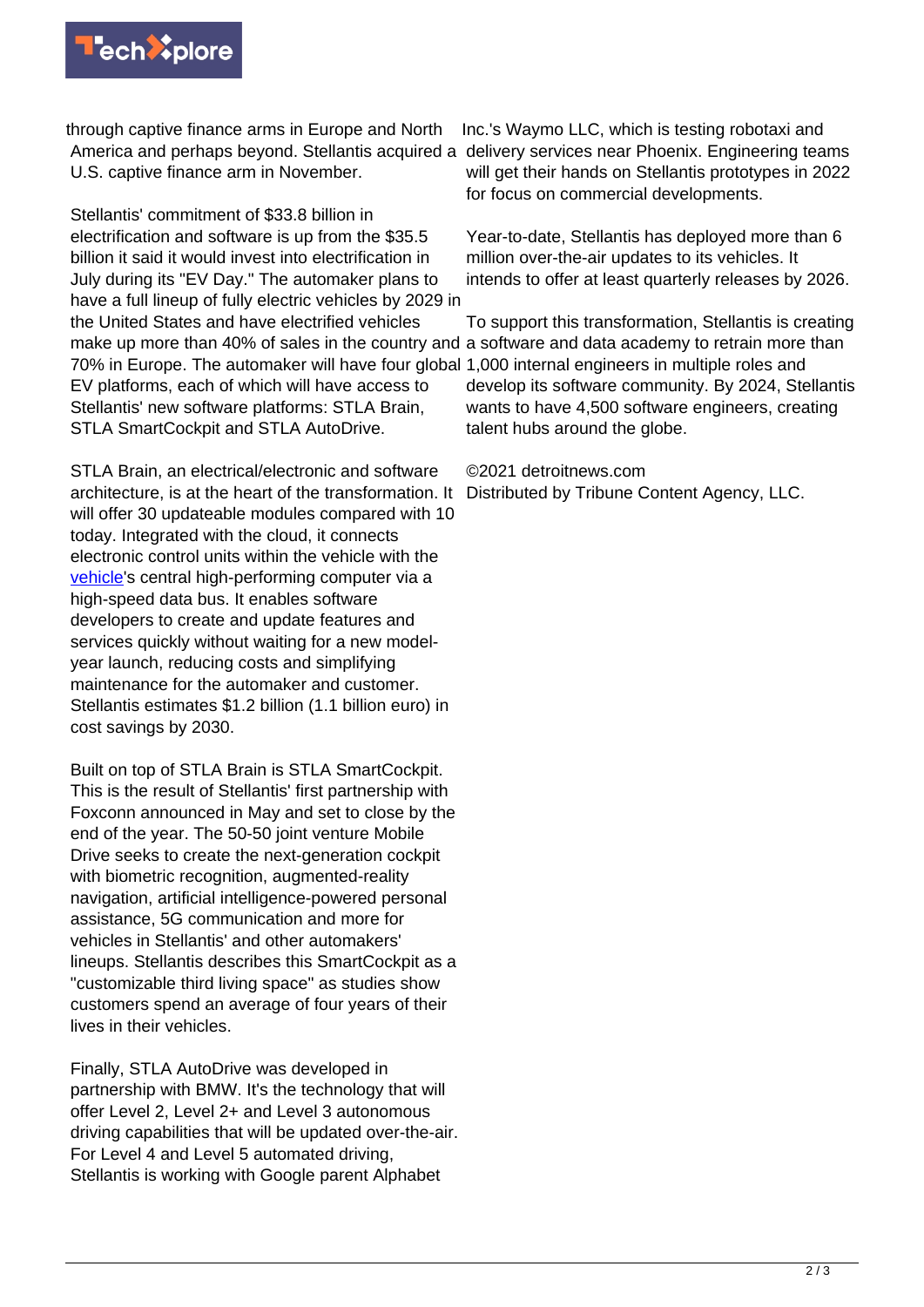

through captive finance arms in Europe and North America and perhaps beyond. Stellantis acquired a delivery services near Phoenix. Engineering teams U.S. captive finance arm in November.

Stellantis' commitment of \$33.8 billion in electrification and software is up from the \$35.5 billion it said it would invest into electrification in July during its "EV Day." The automaker plans to have a full lineup of fully electric vehicles by 2029 in the United States and have electrified vehicles make up more than 40% of sales in the country and a software and data academy to retrain more than 70% in Europe. The automaker will have four global 1,000 internal engineers in multiple roles and EV platforms, each of which will have access to Stellantis' new software platforms: STLA Brain, STLA SmartCockpit and STLA AutoDrive.

STLA Brain, an electrical/electronic and software architecture, is at the heart of the transformation. It will offer 30 updateable modules compared with 10 today. Integrated with the cloud, it connects electronic control units within the vehicle with the [vehicle](https://techxplore.com/tags/vehicle/)'s central high-performing computer via a high-speed data bus. It enables software developers to create and update features and services quickly without waiting for a new modelyear launch, reducing costs and simplifying maintenance for the automaker and customer. Stellantis estimates \$1.2 billion (1.1 billion euro) in cost savings by 2030.

Built on top of STLA Brain is STLA SmartCockpit. This is the result of Stellantis' first partnership with Foxconn announced in May and set to close by the end of the year. The 50-50 joint venture Mobile Drive seeks to create the next-generation cockpit with biometric recognition, augmented-reality navigation, artificial intelligence-powered personal assistance, 5G communication and more for vehicles in Stellantis' and other automakers' lineups. Stellantis describes this SmartCockpit as a "customizable third living space" as studies show customers spend an average of four years of their lives in their vehicles.

Finally, STLA AutoDrive was developed in partnership with BMW. It's the technology that will offer Level 2, Level 2+ and Level 3 autonomous driving capabilities that will be updated over-the-air. For Level 4 and Level 5 automated driving, Stellantis is working with Google parent Alphabet

Inc.'s Waymo LLC, which is testing robotaxi and will get their hands on Stellantis prototypes in 2022 for focus on commercial developments.

Year-to-date, Stellantis has deployed more than 6 million over-the-air updates to its vehicles. It intends to offer at least quarterly releases by 2026.

To support this transformation, Stellantis is creating develop its software community. By 2024, Stellantis wants to have 4,500 software engineers, creating talent hubs around the globe.

©2021 detroitnews.com

Distributed by Tribune Content Agency, LLC.